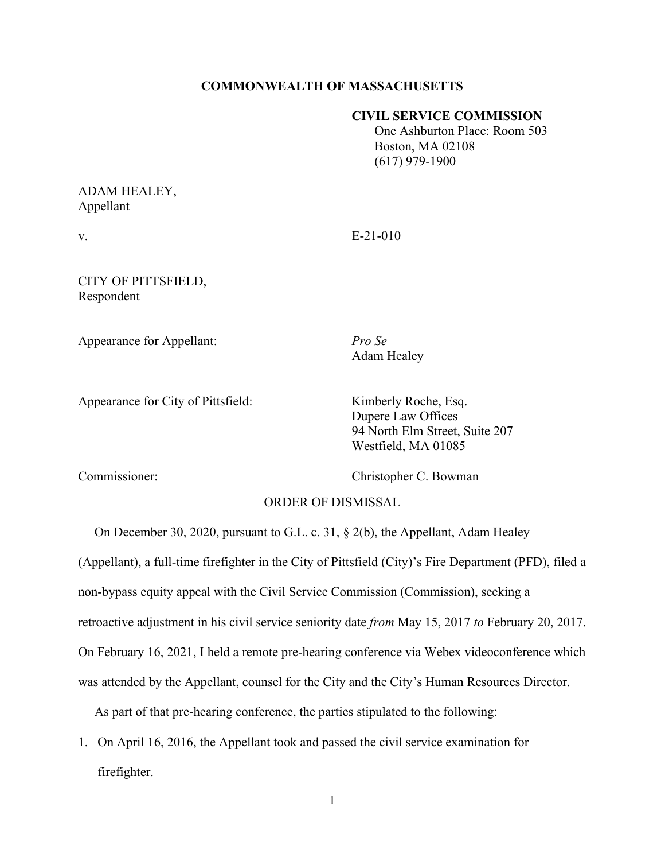### **COMMONWEALTH OF MASSACHUSETTS**

#### **CIVIL SERVICE COMMISSION**

 One Ashburton Place: Room 503 Boston, MA 02108 (617) 979-1900

# ADAM HEALEY, Appellant

v. E-21-010

### CITY OF PITTSFIELD, Respondent

Appearance for Appellant: *Pro Se*

Adam Healey

Appearance for City of Pittsfield: Kimberly Roche, Esq.

Dupere Law Offices 94 North Elm Street, Suite 207 Westfield, MA 01085

Commissioner: Christopher C. Bowman

# ORDER OF DISMISSAL

 On December 30, 2020, pursuant to G.L. c. 31, § 2(b), the Appellant, Adam Healey (Appellant), a full-time firefighter in the City of Pittsfield (City)'s Fire Department (PFD), filed a non-bypass equity appeal with the Civil Service Commission (Commission), seeking a retroactive adjustment in his civil service seniority date *from* May 15, 2017 *to* February 20, 2017. On February 16, 2021, I held a remote pre-hearing conference via Webex videoconference which was attended by the Appellant, counsel for the City and the City's Human Resources Director.

As part of that pre-hearing conference, the parties stipulated to the following:

1. On April 16, 2016, the Appellant took and passed the civil service examination for firefighter.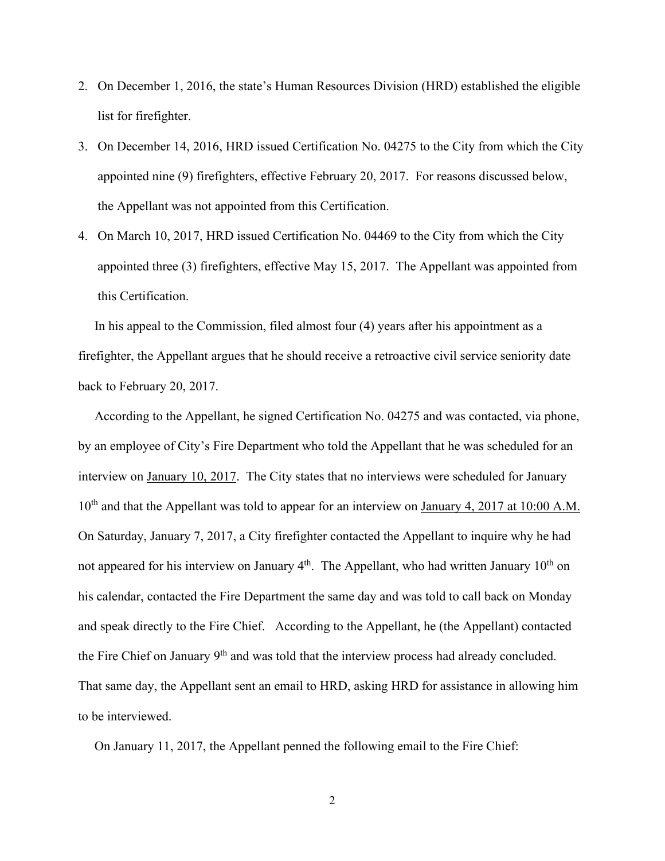- 2. On December 1, 2016, the state's Human Resources Division (HRD) established the eligible list for firefighter.
- 3. On December 14, 2016, HRD issued Certification No. 04275 to the City from which the City appointed nine (9) firefighters, effective February 20, 2017. For reasons discussed below, the Appellant was not appointed from this Certification.
- 4. On March 10, 2017, HRD issued Certification No. 04469 to the City from which the City appointed three (3) firefighters, effective May 15, 2017. The Appellant was appointed from this Certification.

 In his appeal to the Commission, filed almost four (4) years after his appointment as a firefighter, the Appellant argues that he should receive a retroactive civil service seniority date back to February 20, 2017.

 According to the Appellant, he signed Certification No. 04275 and was contacted, via phone, by an employee of City's Fire Department who told the Appellant that he was scheduled for an interview on January 10, 2017. The City states that no interviews were scheduled for January 10<sup>th</sup> and that the Appellant was told to appear for an interview on <u>January 4, 2017 at 10:00 A.M.</u> On Saturday, January 7, 2017, a City firefighter contacted the Appellant to inquire why he had not appeared for his interview on January  $4<sup>th</sup>$ . The Appellant, who had written January  $10<sup>th</sup>$  on his calendar, contacted the Fire Department the same day and was told to call back on Monday and speak directly to the Fire Chief. According to the Appellant, he (the Appellant) contacted the Fire Chief on January 9<sup>th</sup> and was told that the interview process had already concluded. That same day, the Appellant sent an email to HRD, asking HRD for assistance in allowing him to be interviewed.

On January 11, 2017, the Appellant penned the following email to the Fire Chief: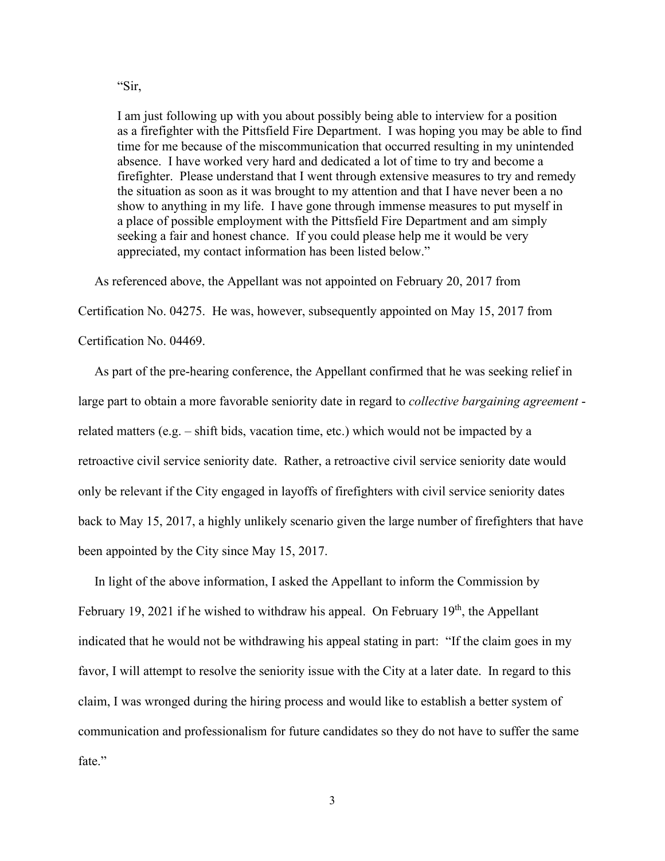I am just following up with you about possibly being able to interview for a position as a firefighter with the Pittsfield Fire Department. I was hoping you may be able to find time for me because of the miscommunication that occurred resulting in my unintended absence. I have worked very hard and dedicated a lot of time to try and become a firefighter. Please understand that I went through extensive measures to try and remedy the situation as soon as it was brought to my attention and that I have never been a no show to anything in my life. I have gone through immense measures to put myself in a place of possible employment with the Pittsfield Fire Department and am simply seeking a fair and honest chance. If you could please help me it would be very appreciated, my contact information has been listed below."

As referenced above, the Appellant was not appointed on February 20, 2017 from

Certification No. 04275. He was, however, subsequently appointed on May 15, 2017 from

Certification No. 04469.

 As part of the pre-hearing conference, the Appellant confirmed that he was seeking relief in large part to obtain a more favorable seniority date in regard to *collective bargaining agreement* related matters (e.g. – shift bids, vacation time, etc.) which would not be impacted by a retroactive civil service seniority date. Rather, a retroactive civil service seniority date would only be relevant if the City engaged in layoffs of firefighters with civil service seniority dates back to May 15, 2017, a highly unlikely scenario given the large number of firefighters that have been appointed by the City since May 15, 2017.

 In light of the above information, I asked the Appellant to inform the Commission by February 19, 2021 if he wished to withdraw his appeal. On February  $19<sup>th</sup>$ , the Appellant indicated that he would not be withdrawing his appeal stating in part: "If the claim goes in my favor, I will attempt to resolve the seniority issue with the City at a later date. In regard to this claim, I was wronged during the hiring process and would like to establish a better system of communication and professionalism for future candidates so they do not have to suffer the same fate."

"Sir,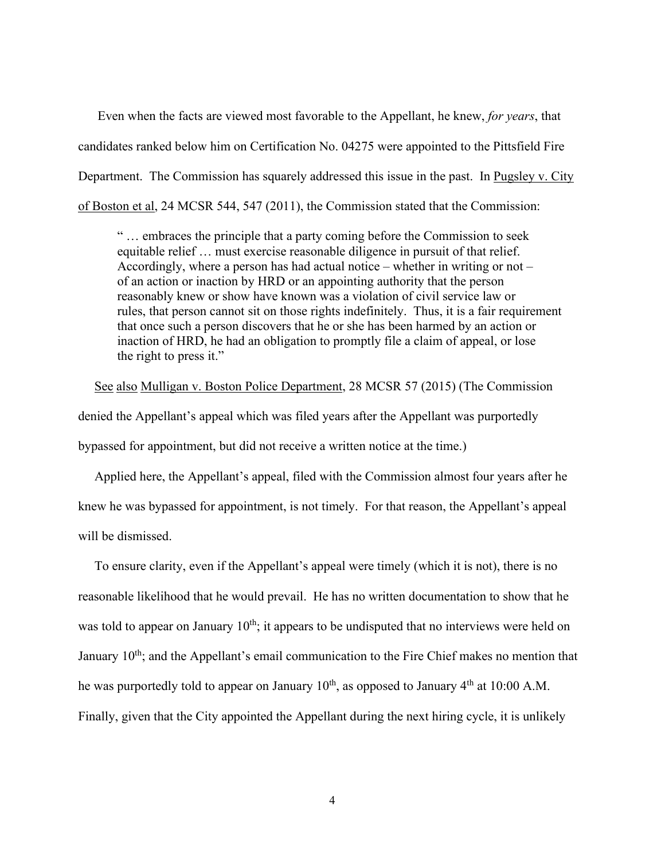Even when the facts are viewed most favorable to the Appellant, he knew, *for years*, that candidates ranked below him on Certification No. 04275 were appointed to the Pittsfield Fire Department. The Commission has squarely addressed this issue in the past. In Pugsley v. City of Boston et al, 24 MCSR 544, 547 (2011), the Commission stated that the Commission:

" … embraces the principle that a party coming before the Commission to seek equitable relief … must exercise reasonable diligence in pursuit of that relief. Accordingly, where a person has had actual notice – whether in writing or not – of an action or inaction by HRD or an appointing authority that the person reasonably knew or show have known was a violation of civil service law or rules, that person cannot sit on those rights indefinitely. Thus, it is a fair requirement that once such a person discovers that he or she has been harmed by an action or inaction of HRD, he had an obligation to promptly file a claim of appeal, or lose the right to press it."

 See also Mulligan v. Boston Police Department, 28 MCSR 57 (2015) (The Commission denied the Appellant's appeal which was filed years after the Appellant was purportedly bypassed for appointment, but did not receive a written notice at the time.)

 Applied here, the Appellant's appeal, filed with the Commission almost four years after he knew he was bypassed for appointment, is not timely. For that reason, the Appellant's appeal will be dismissed.

 To ensure clarity, even if the Appellant's appeal were timely (which it is not), there is no reasonable likelihood that he would prevail. He has no written documentation to show that he was told to appear on January  $10^{th}$ ; it appears to be undisputed that no interviews were held on January  $10<sup>th</sup>$ ; and the Appellant's email communication to the Fire Chief makes no mention that he was purportedly told to appear on January 10<sup>th</sup>, as opposed to January 4<sup>th</sup> at 10:00 A.M. Finally, given that the City appointed the Appellant during the next hiring cycle, it is unlikely